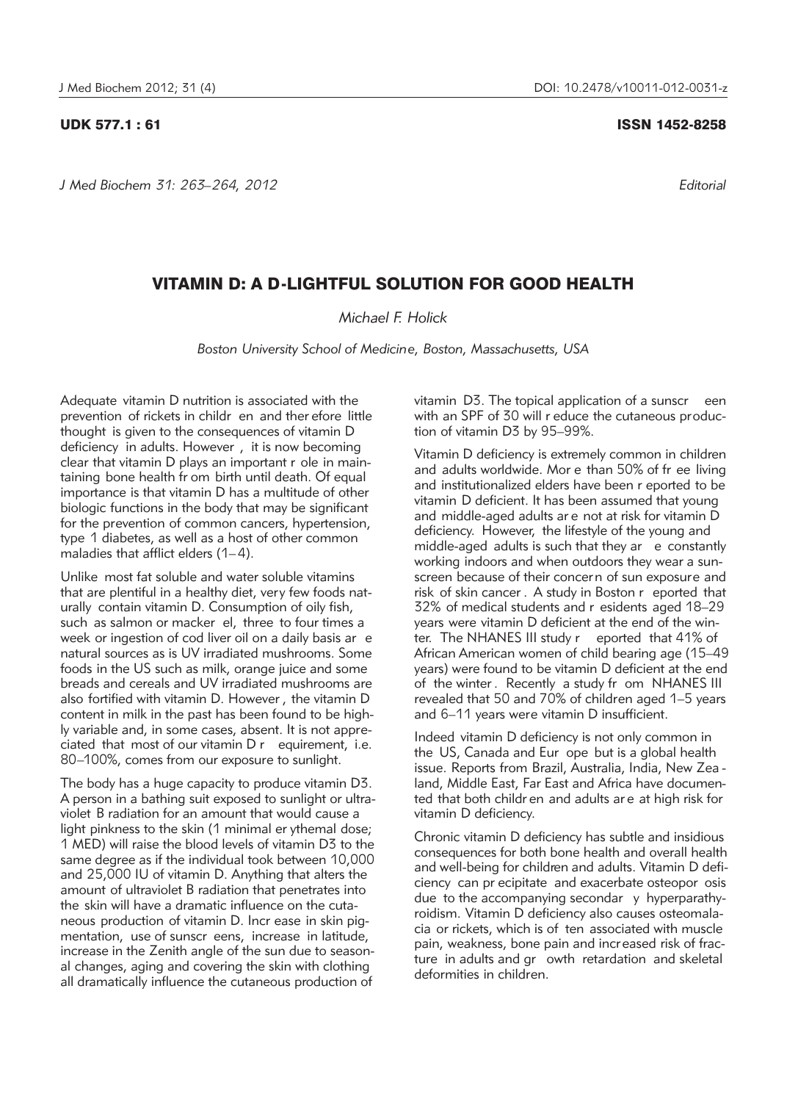*J Med Biochem 31: 263–264, 2012 Editorial*

## UDK 577.1 : 61 ISSN 1452-8258

## VITAMIN D: A D-LIGHTFUL SOLUTION FOR GOOD HEALTH

## *Michael F. Holick*

*Boston University School of Medicine, Boston, Massachusetts, USA*

Adequate vitamin D nutrition is associated with the prevention of rickets in childr en and ther efore little thought is given to the consequences of vitamin D deficiency in adults. However , it is now becoming clear that vitamin D plays an important r ole in maintaining bone health fr om birth until death. Of equal importance is that vitamin D has a multitude of other biologic functions in the body that may be significant for the prevention of common cancers, hypertension, type 1 diabetes, as well as a host of other common maladies that afflict elders (1-4).

Unlike most fat soluble and water soluble vitamins that are plentiful in a healthy diet, very few foods naturally contain vitamin D. Consumption of oily fish, such as salmon or macker el, three to four times a week or ingestion of cod liver oil on a daily basis ar e natural sources as is UV irradiated mushrooms. Some foods in the US such as milk, orange juice and some breads and cereals and UV irradiated mushrooms are also fortified with vitamin D. However , the vitamin D content in milk in the past has been found to be highly variable and, in some cases, absent. It is not appreciated that most of our vitamin D r equirement, i.e. 80–100%, comes from our exposure to sunlight.

The body has a huge capacity to produce vitamin D3. A person in a bathing suit exposed to sunlight or ultraviolet B radiation for an amount that would cause a light pinkness to the skin (1 minimal er ythemal dose; 1 MED) will raise the blood levels of vitamin D3 to the same degree as if the individual took between 10,000 and 25,000 IU of vitamin D. Anything that alters the amount of ultraviolet B radiation that penetrates into the skin will have a dramatic influence on the cutaneous production of vitamin D. Incr ease in skin pigmentation, use of sunscr eens, increase in latitude, increase in the Zenith angle of the sun due to seasonal changes, aging and covering the skin with clothing all dramatically influence the cutaneous production of

vitamin D3. The topical application of a sunscr een with an SPF of 30 will r educe the cutaneous production of vitamin D3 by 95–99%.

Vitamin D deficiency is extremely common in children and adults worldwide. Mor e than 50% of fr ee living and institutionalized elders have been r eported to be vitamin D deficient. It has been assumed that young and middle-aged adults ar e not at risk for vitamin D deficiency. However, the lifestyle of the young and middle-aged adults is such that they ar  $e$  constantly working indoors and when outdoors they wear a sunscreen because of their concern of sun exposure and risk of skin cancer . A study in Boston r eported that 32% of medical students and r esidents aged 18–29 years were vitamin D deficient at the end of the winter. The NHANES III study r eported that 41% of African American women of child bearing age (15–49 years) were found to be vitamin D deficient at the end of the winter . Recently a study fr om NHANES III revealed that 50 and 70% of children aged 1–5 years and 6–11 years were vitamin D insufficient.

Indeed vitamin D deficiency is not only common in the US, Canada and Eur ope but is a global health issue. Reports from Brazil, Australia, India, New Zea land, Middle East, Far East and Africa have documented that both childr en and adults ar e at high risk for vitamin D deficiency.

Chronic vitamin D deficiency has subtle and insidious consequences for both bone health and overall health and well-being for children and adults. Vitamin D deficiency can pr ecipitate and exacerbate osteopor osis due to the accompanying secondar y hyperparathyroidism. Vitamin D deficiency also causes osteomalacia or rickets, which is of ten associated with muscle pain, weakness, bone pain and increased risk of fracture in adults and gr owth retardation and skeletal deformities in children.